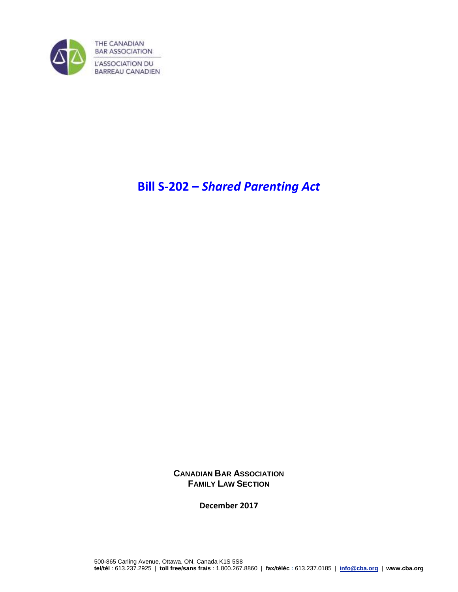

**Bill S-202 –** *Shared Parenting Act*

**CANADIAN BAR ASSOCIATION FAMILY LAW SECTION**

**December 2017**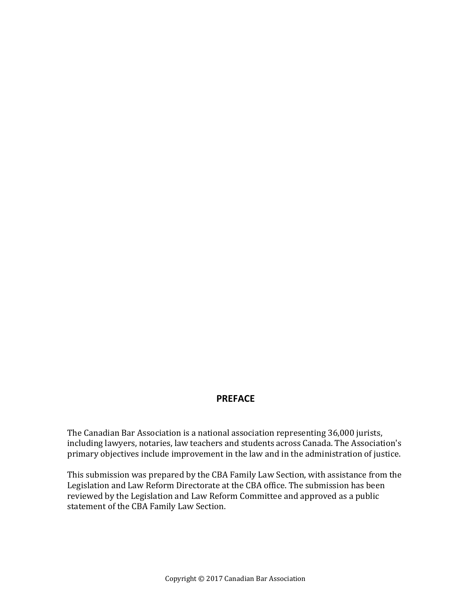#### **PREFACE**

The Canadian Bar Association is a national association representing 36,000 jurists, including lawyers, notaries, law teachers and students across Canada. The Association's primary objectives include improvement in the law and in the administration of justice.

This submission was prepared by the CBA Family Law Section, with assistance from the Legislation and Law Reform Directorate at the CBA office. The submission has been reviewed by the Legislation and Law Reform Committee and approved as a public statement of the CBA Family Law Section.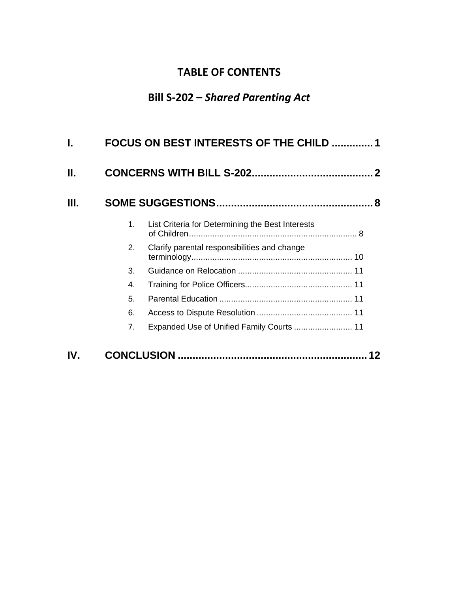# **TABLE OF CONTENTS**

# **Bill S-202 –** *Shared Parenting Act*

| Н.  |    |                                                  |  |  |
|-----|----|--------------------------------------------------|--|--|
| Ш.  |    |                                                  |  |  |
|     | 1. | List Criteria for Determining the Best Interests |  |  |
|     | 2. | Clarify parental responsibilities and change     |  |  |
|     | 3. |                                                  |  |  |
|     | 4. |                                                  |  |  |
|     | 5. |                                                  |  |  |
|     | 6. |                                                  |  |  |
|     | 7. | Expanded Use of Unified Family Courts  11        |  |  |
| IV. |    |                                                  |  |  |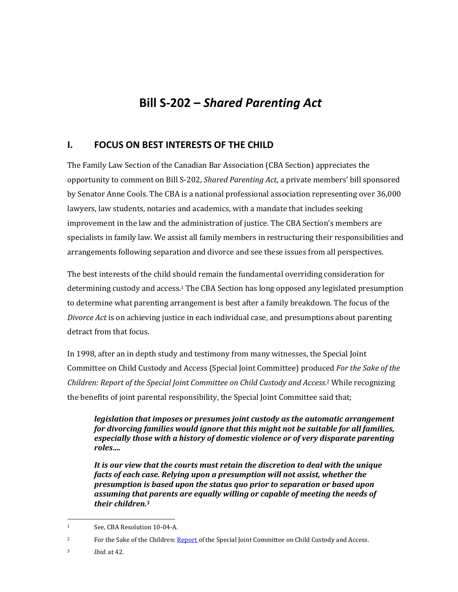# **Bill S-202 –** *Shared Parenting Act*

# <span id="page-4-0"></span>**I. FOCUS ON BEST INTERESTS OF THE CHILD**

The Family Law Section of the Canadian Bar Association (CBA Section) appreciates the opportunity to comment on Bill S-202, *Shared Parenting Act*, a private members' bill sponsored by Senator Anne Cools. The CBA is a national professional association representing over 36,000 lawyers, law students, notaries and academics, with a mandate that includes seeking improvement in the law and the administration of justice. The CBA Section's members are specialists in family law. We assist all family members in restructuring their responsibilities and arrangements following separation and divorce and see these issues from all perspectives.

The best interests of the child should remain the fundamental overriding consideration for determining custody and access. <sup>1</sup> The CBA Section has long opposed any legislated presumption to determine what parenting arrangement is best after a family breakdown. The focus of the *Divorce Act* is on achieving justice in each individual case, and presumptions about parenting detract from that focus.

In 1998, after an in depth study and testimony from many witnesses, the Special Joint Committee on Child Custody and Access (Special Joint Committee) produced *For the Sake of the Children: Report of the Special Joint Committee on Child Custody and Access*. <sup>2</sup> While recognizing the benefits of joint parental responsibility, the Special Joint Committee said that;

*legislation that imposes or presumes joint custody as the automatic arrangement for divorcing families would ignore that this might not be suitable for all families, especially those with a history of domestic violence or of very disparate parenting roles….*

*It is our view that the courts must retain the discretion to deal with the unique facts of each case. Relying upon a presumption will not assist, whether the presumption is based upon the status quo prior to separation or based upon assuming that parents are equally willing or capable of meeting the needs of their children.***<sup>3</sup>**

l

<sup>1</sup> See, CBA Resolution 10-04-A.

<sup>&</sup>lt;sup>2</sup> For the Sake of the Children: [Report o](http://publications.gc.ca/site/eng/80994/publication.html)f the Special Joint Committee on Child Custody and Access.

<sup>3</sup> *Ibid.* at 42.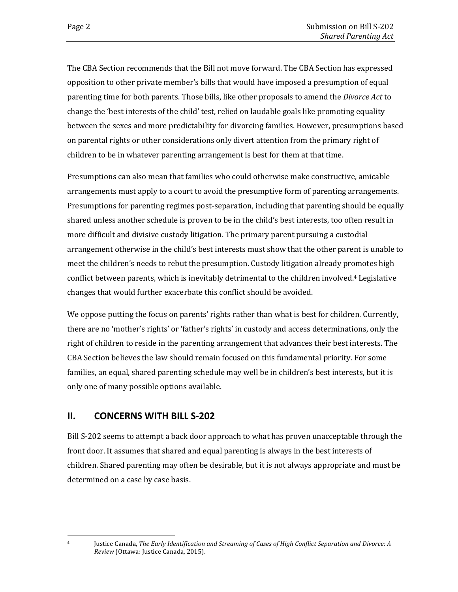The CBA Section recommends that the Bill not move forward. The CBA Section has expressed opposition to other private member's bills that would have imposed a presumption of equal parenting time for both parents. Those bills, like other proposals to amend the *Divorce Act* to change the 'best interests of the child' test, relied on laudable goals like promoting equality between the sexes and more predictability for divorcing families. However, presumptions based on parental rights or other considerations only divert attention from the primary right of children to be in whatever parenting arrangement is best for them at that time.

Presumptions can also mean that families who could otherwise make constructive, amicable arrangements must apply to a court to avoid the presumptive form of parenting arrangements. Presumptions for parenting regimes post-separation, including that parenting should be equally shared unless another schedule is proven to be in the child's best interests, too often result in more difficult and divisive custody litigation. The primary parent pursuing a custodial arrangement otherwise in the child's best interests must show that the other parent is unable to meet the children's needs to rebut the presumption. Custody litigation already promotes high conflict between parents, which is inevitably detrimental to the children involved. <sup>4</sup> Legislative changes that would further exacerbate this conflict should be avoided.

We oppose putting the focus on parents' rights rather than what is best for children. Currently, there are no 'mother's rights' or 'father's rights' in custody and access determinations, only the right of children to reside in the parenting arrangement that advances their best interests. The CBA Section believes the law should remain focused on this fundamental priority. For some families, an equal, shared parenting schedule may well be in children's best interests, but it is only one of many possible options available.

# <span id="page-5-0"></span>**II. CONCERNS WITH BILL S-202**

Bill S-202 seems to attempt a back door approach to what has proven unacceptable through the front door. It assumes that shared and equal parenting is always in the best interests of children. Shared parenting may often be desirable, but it is not always appropriate and must be determined on a case by case basis.

 $\overline{\phantom{a}}$ 

<sup>4</sup> Justice Canada, *The Early Identification and Streaming of Cases of High Conflict Separation and Divorce: A Review* (Ottawa: Justice Canada, 2015).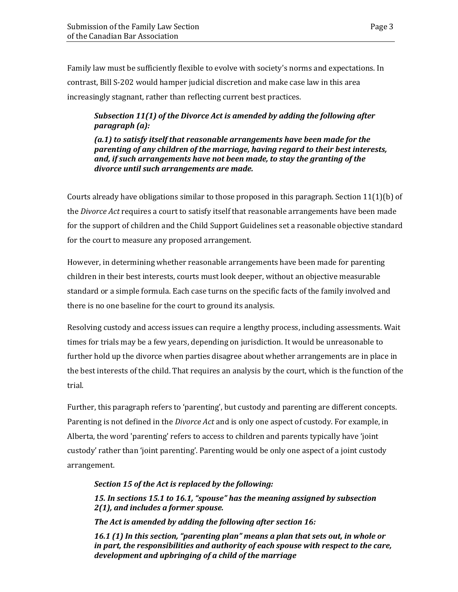Family law must be sufficiently flexible to evolve with society's norms and expectations. In contrast, Bill S-202 would hamper judicial discretion and make case law in this area increasingly stagnant, rather than reflecting current best practices.

#### *Subsection 11(1) of the Divorce Act is amended by adding the following after paragraph (a):*

*(a.1) to satisfy itself that reasonable arrangements have been made for the parenting of any children of the marriage, having regard to their best interests, and, if such arrangements have not been made, to stay the granting of the divorce until such arrangements are made.*

Courts already have obligations similar to those proposed in this paragraph. Section 11(1)(b) of the *Divorce Act* requires a court to satisfy itself that reasonable arrangements have been made for the support of children and the Child Support Guidelines set a reasonable objective standard for the court to measure any proposed arrangement.

However, in determining whether reasonable arrangements have been made for parenting children in their best interests, courts must look deeper, without an objective measurable standard or a simple formula. Each case turns on the specific facts of the family involved and there is no one baseline for the court to ground its analysis.

Resolving custody and access issues can require a lengthy process, including assessments. Wait times for trials may be a few years, depending on jurisdiction. It would be unreasonable to further hold up the divorce when parties disagree about whether arrangements are in place in the best interests of the child. That requires an analysis by the court, which is the function of the trial.

Further, this paragraph refers to 'parenting', but custody and parenting are different concepts. Parenting is not defined in the *Divorce Act* and is only one aspect of custody. For example, in Alberta, the word 'parenting' refers to access to children and parents typically have 'joint custody' rather than 'joint parenting'. Parenting would be only one aspect of a joint custody arrangement.

#### *Section 15 of the Act is replaced by the following:*

*15. In sections 15.1 to 16.1, "spouse" has the meaning assigned by subsection 2(1), and includes a former spouse.*

*The Act is amended by adding the following after section 16:*

*16.1 (1) In this section, "parenting plan" means a plan that sets out, in whole or in part, the responsibilities and authority of each spouse with respect to the care, development and upbringing of a child of the marriage*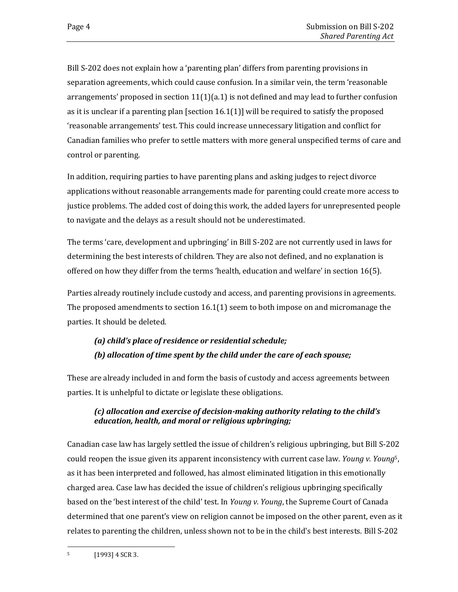Bill S-202 does not explain how a 'parenting plan' differs from parenting provisions in separation agreements, which could cause confusion. In a similar vein, the term 'reasonable arrangements' proposed in section  $11(1)(a.1)$  is not defined and may lead to further confusion as it is unclear if a parenting plan [section  $16.1(1)$ ] will be required to satisfy the proposed 'reasonable arrangements' test. This could increase unnecessary litigation and conflict for Canadian families who prefer to settle matters with more general unspecified terms of care and control or parenting.

In addition, requiring parties to have parenting plans and asking judges to reject divorce applications without reasonable arrangements made for parenting could create more access to justice problems. The added cost of doing this work, the added layers for unrepresented people to navigate and the delays as a result should not be underestimated.

The terms 'care, development and upbringing' in Bill S-202 are not currently used in laws for determining the best interests of children. They are also not defined, and no explanation is offered on how they differ from the terms 'health, education and welfare' in section 16(5).

Parties already routinely include custody and access, and parenting provisions in agreements. The proposed amendments to section 16.1(1) seem to both impose on and micromanage the parties. It should be deleted.

# *(a) child's place of residence or residential schedule; (b) allocation of time spent by the child under the care of each spouse;*

These are already included in and form the basis of custody and access agreements between parties. It is unhelpful to dictate or legislate these obligations.

## *(c) allocation and exercise of decision-making authority relating to the child's education, health, and moral or religious upbringing;*

Canadian case law has largely settled the issue of children's religious upbringing, but Bill S-202 could reopen the issue given its apparent inconsistency with current case law. *Young v. Young*5, as it has been interpreted and followed, has almost eliminated litigation in this emotionally charged area. Case law has decided the issue of children's religious upbringing specifically based on the 'best interest of the child' test. In *Young v. Young*, the Supreme Court of Canada determined that one parent's view on religion cannot be imposed on the other parent, even as it relates to parenting the children, unless shown not to be in the child's best interests. Bill S-202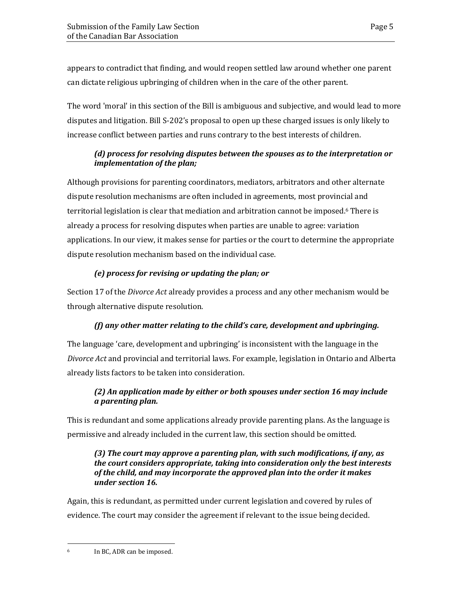appears to contradict that finding, and would reopen settled law around whether one parent can dictate religious upbringing of children when in the care of the other parent.

The word 'moral' in this section of the Bill is ambiguous and subjective, and would lead to more disputes and litigation. Bill S-202's proposal to open up these charged issues is only likely to increase conflict between parties and runs contrary to the best interests of children.

# *(d) process for resolving disputes between the spouses as to the interpretation or implementation of the plan;*

Although provisions for parenting coordinators, mediators, arbitrators and other alternate dispute resolution mechanisms are often included in agreements, most provincial and territorial legislation is clear that mediation and arbitration cannot be imposed. <sup>6</sup> There is already a process for resolving disputes when parties are unable to agree: variation applications. In our view, it makes sense for parties or the court to determine the appropriate dispute resolution mechanism based on the individual case.

# *(e) process for revising or updating the plan; or*

Section 17 of the *Divorce Act* already provides a process and any other mechanism would be through alternative dispute resolution.

# *(f) any other matter relating to the child's care, development and upbringing.*

The language 'care, development and upbringing' is inconsistent with the language in the *Divorce Act* and provincial and territorial laws. For example, legislation in Ontario and Alberta already lists factors to be taken into consideration.

## *(2) An application made by either or both spouses under section 16 may include a parenting plan.*

This is redundant and some applications already provide parenting plans. As the language is permissive and already included in the current law, this section should be omitted.

#### *(3) The court may approve a parenting plan, with such modifications, if any, as the court considers appropriate, taking into consideration only the best interests of the child, and may incorporate the approved plan into the order it makes under section 16.*

Again, this is redundant, as permitted under current legislation and covered by rules of evidence. The court may consider the agreement if relevant to the issue being decided.

l <sup>6</sup> In BC, ADR can be imposed.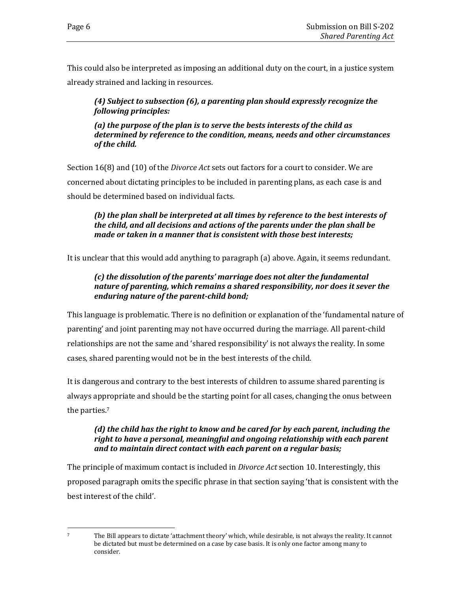This could also be interpreted as imposing an additional duty on the court, in a justice system already strained and lacking in resources.

### *(4) Subject to subsection (6), a parenting plan should expressly recognize the following principles:*

*(a) the purpose of the plan is to serve the bests interests of the child as determined by reference to the condition, means, needs and other circumstances of the child.*

Section 16(8) and (10) of the *Divorce Act* sets out factors for a court to consider. We are concerned about dictating principles to be included in parenting plans, as each case is and should be determined based on individual facts.

#### *(b) the plan shall be interpreted at all times by reference to the best interests of the child, and all decisions and actions of the parents under the plan shall be made or taken in a manner that is consistent with those best interests;*

It is unclear that this would add anything to paragraph (a) above. Again, it seems redundant.

#### *(c) the dissolution of the parents' marriage does not alter the fundamental nature of parenting, which remains a shared responsibility, nor does it sever the enduring nature of the parent-child bond;*

This language is problematic. There is no definition or explanation of the 'fundamental nature of parenting' and joint parenting may not have occurred during the marriage. All parent-child relationships are not the same and 'shared responsibility' is not always the reality. In some cases, shared parenting would not be in the best interests of the child.

It is dangerous and contrary to the best interests of children to assume shared parenting is always appropriate and should be the starting point for all cases, changing the onus between the parties.<sup>7</sup>

#### *(d) the child has the right to know and be cared for by each parent, including the right to have a personal, meaningful and ongoing relationship with each parent and to maintain direct contact with each parent on a regular basis;*

The principle of maximum contact is included in *Divorce Act* section 10. Interestingly, this proposed paragraph omits the specific phrase in that section saying 'that is consistent with the best interest of the child'.

 $\overline{a}$ <sup>7</sup> The Bill appears to dictate 'attachment theory' which, while desirable, is not always the reality. It cannot be dictated but must be determined on a case by case basis. It is only one factor among many to consider.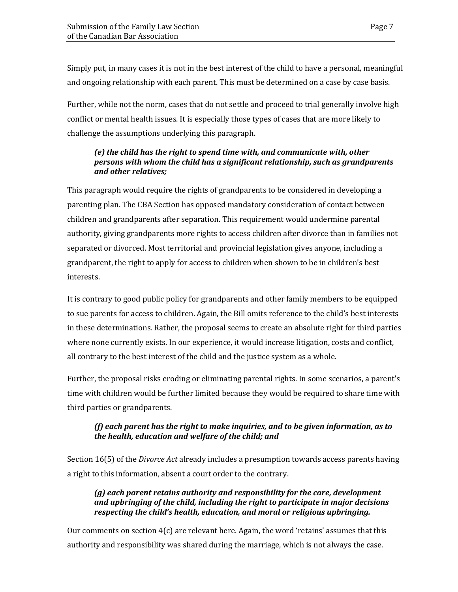Simply put, in many cases it is not in the best interest of the child to have a personal, meaningful and ongoing relationship with each parent. This must be determined on a case by case basis.

Further, while not the norm, cases that do not settle and proceed to trial generally involve high conflict or mental health issues. It is especially those types of cases that are more likely to challenge the assumptions underlying this paragraph.

#### *(e) the child has the right to spend time with, and communicate with, other persons with whom the child has a significant relationship, such as grandparents and other relatives;*

This paragraph would require the rights of grandparents to be considered in developing a parenting plan. The CBA Section has opposed mandatory consideration of contact between children and grandparents after separation. This requirement would undermine parental authority, giving grandparents more rights to access children after divorce than in families not separated or divorced. Most territorial and provincial legislation gives anyone, including a grandparent, the right to apply for access to children when shown to be in children's best interests.

It is contrary to good public policy for grandparents and other family members to be equipped to sue parents for access to children. Again, the Bill omits reference to the child's best interests in these determinations. Rather, the proposal seems to create an absolute right for third parties where none currently exists. In our experience, it would increase litigation, costs and conflict, all contrary to the best interest of the child and the justice system as a whole.

Further, the proposal risks eroding or eliminating parental rights. In some scenarios, a parent's time with children would be further limited because they would be required to share time with third parties or grandparents.

#### *(f) each parent has the right to make inquiries, and to be given information, as to the health, education and welfare of the child; and*

Section 16(5) of the *Divorce Act* already includes a presumption towards access parents having a right to this information, absent a court order to the contrary.

#### *(g) each parent retains authority and responsibility for the care, development and upbringing of the child, including the right to participate in major decisions respecting the child's health, education, and moral or religious upbringing.*

Our comments on section  $4(c)$  are relevant here. Again, the word 'retains' assumes that this authority and responsibility was shared during the marriage, which is not always the case.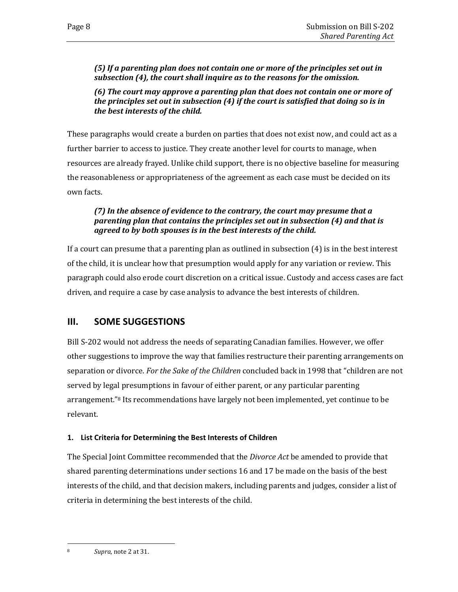*(5) If a parenting plan does not contain one or more of the principles set out in subsection (4), the court shall inquire as to the reasons for the omission.*

*(6) The court may approve a parenting plan that does not contain one or more of the principles set out in subsection (4) if the court is satisfied that doing so is in the best interests of the child.* 

These paragraphs would create a burden on parties that does not exist now, and could act as a further barrier to access to justice. They create another level for courts to manage, when resources are already frayed. Unlike child support, there is no objective baseline for measuring the reasonableness or appropriateness of the agreement as each case must be decided on its own facts.

#### *(7) In the absence of evidence to the contrary, the court may presume that a parenting plan that contains the principles set out in subsection (4) and that is agreed to by both spouses is in the best interests of the child.*

If a court can presume that a parenting plan as outlined in subsection (4) is in the best interest of the child, it is unclear how that presumption would apply for any variation or review. This paragraph could also erode court discretion on a critical issue. Custody and access cases are fact driven, and require a case by case analysis to advance the best interests of children.

# <span id="page-11-0"></span>**III. SOME SUGGESTIONS**

Bill S-202 would not address the needs of separating Canadian families. However, we offer other suggestions to improve the way that families restructure their parenting arrangements on separation or divorce. *For the Sake of the Children* concluded back in 1998 that "children are not served by legal presumptions in favour of either parent, or any particular parenting arrangement." <sup>8</sup> Its recommendations have largely not been implemented, yet continue to be relevant.

#### <span id="page-11-1"></span>**1. List Criteria for Determining the Best Interests of Children**

The Special Joint Committee recommended that the *Divorce Act* be amended to provide that shared parenting determinations under sections 16 and 17 be made on the basis of the best interests of the child, and that decision makers, including parents and judges, consider a list of criteria in determining the best interests of the child.

l <sup>8</sup> *Supra*, note 2 at 31.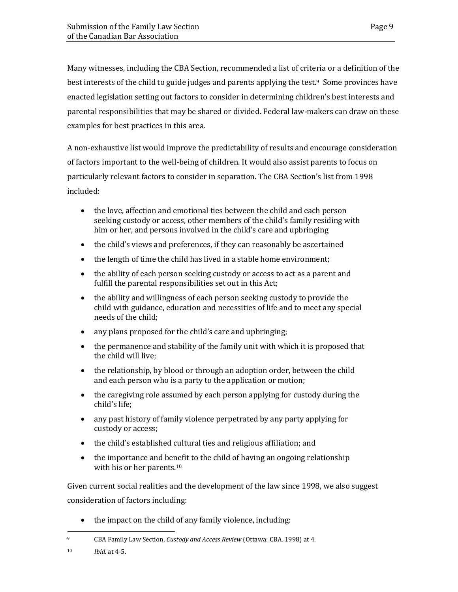Many witnesses, including the CBA Section, recommended a list of criteria or a definition of the best interests of the child to guide judges and parents applying the test.<sup>9</sup> Some provinces have enacted legislation setting out factors to consider in determining children's best interests and parental responsibilities that may be shared or divided. Federal law-makers can draw on these examples for best practices in this area.

A non-exhaustive list would improve the predictability of results and encourage consideration of factors important to the well-being of children. It would also assist parents to focus on particularly relevant factors to consider in separation. The CBA Section's list from 1998 included:

- the love, affection and emotional ties between the child and each person seeking custody or access, other members of the child's family residing with him or her, and persons involved in the child's care and upbringing
- the child's views and preferences, if they can reasonably be ascertained
- the length of time the child has lived in a stable home environment;
- the ability of each person seeking custody or access to act as a parent and fulfill the parental responsibilities set out in this Act;
- the ability and willingness of each person seeking custody to provide the child with guidance, education and necessities of life and to meet any special needs of the child;
- any plans proposed for the child's care and upbringing;
- the permanence and stability of the family unit with which it is proposed that the child will live;
- the relationship, by blood or through an adoption order, between the child and each person who is a party to the application or motion;
- the caregiving role assumed by each person applying for custody during the child's life;
- any past history of family violence perpetrated by any party applying for custody or access;
- the child's established cultural ties and religious affiliation; and
- the importance and benefit to the child of having an ongoing relationship with his or her parents.<sup>10</sup>

Given current social realities and the development of the law since 1998, we also suggest consideration of factors including:

• the impact on the child of any family violence, including:

<sup>10</sup> *Ibid.* at 4-5.

 $\overline{a}$ <sup>9</sup> CBA Family Law Section, *Custody and Access Review* (Ottawa: CBA, 1998) at 4.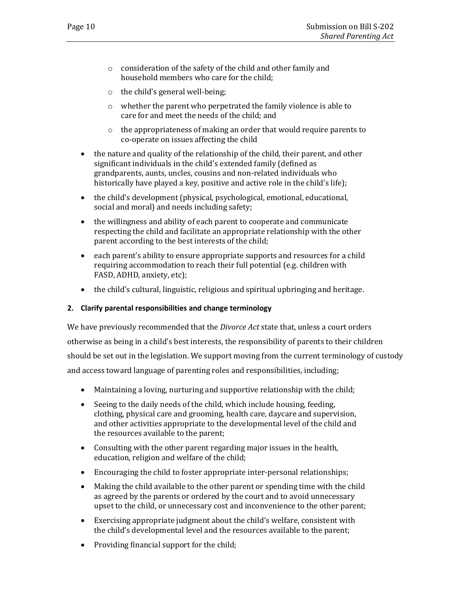- o consideration of the safety of the child and other family and household members who care for the child;
- o the child's general well-being;
- o whether the parent who perpetrated the family violence is able to care for and meet the needs of the child; and
- o the appropriateness of making an order that would require parents to co-operate on issues affecting the child
- the nature and quality of the relationship of the child, their parent, and other significant individuals in the child's extended family (defined as grandparents, aunts, uncles, cousins and non-related individuals who historically have played a key, positive and active role in the child's life);
- the child's development (physical, psychological, emotional, educational, social and moral) and needs including safety;
- the willingness and ability of each parent to cooperate and communicate respecting the child and facilitate an appropriate relationship with the other parent according to the best interests of the child;
- each parent's ability to ensure appropriate supports and resources for a child requiring accommodation to reach their full potential (e.g. children with FASD, ADHD, anxiety, etc);
- the child's cultural, linguistic, religious and spiritual upbringing and heritage.

#### <span id="page-13-0"></span>**2. Clarify parental responsibilities and change terminology**

We have previously recommended that the *Divorce Act* state that, unless a court orders otherwise as being in a child's best interests, the responsibility of parents to their children should be set out in the legislation. We support moving from the current terminology of custody and access toward language of parenting roles and responsibilities, including;

- Maintaining a loving, nurturing and supportive relationship with the child;
- Seeing to the daily needs of the child, which include housing, feeding, clothing, physical care and grooming, health care, daycare and supervision, and other activities appropriate to the developmental level of the child and the resources available to the parent;
- Consulting with the other parent regarding major issues in the health, education, religion and welfare of the child;
- Encouraging the child to foster appropriate inter-personal relationships;
- Making the child available to the other parent or spending time with the child as agreed by the parents or ordered by the court and to avoid unnecessary upset to the child, or unnecessary cost and inconvenience to the other parent;
- Exercising appropriate judgment about the child's welfare, consistent with the child's developmental level and the resources available to the parent;
- Providing financial support for the child;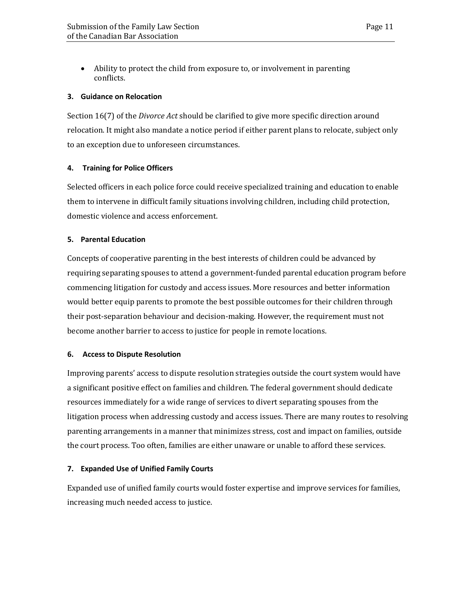Ability to protect the child from exposure to, or involvement in parenting conflicts.

#### <span id="page-14-0"></span>**3. Guidance on Relocation**

Section 16(7) of the *Divorce Act* should be clarified to give more specific direction around relocation. It might also mandate a notice period if either parent plans to relocate, subject only to an exception due to unforeseen circumstances.

#### <span id="page-14-1"></span>**4. Training for Police Officers**

Selected officers in each police force could receive specialized training and education to enable them to intervene in difficult family situations involving children, including child protection, domestic violence and access enforcement.

#### <span id="page-14-2"></span>**5. Parental Education**

Concepts of cooperative parenting in the best interests of children could be advanced by requiring separating spouses to attend a government-funded parental education program before commencing litigation for custody and access issues. More resources and better information would better equip parents to promote the best possible outcomes for their children through their post-separation behaviour and decision-making. However, the requirement must not become another barrier to access to justice for people in remote locations.

#### <span id="page-14-3"></span>**6. Access to Dispute Resolution**

Improving parents' access to dispute resolution strategies outside the court system would have a significant positive effect on families and children. The federal government should dedicate resources immediately for a wide range of services to divert separating spouses from the litigation process when addressing custody and access issues. There are many routes to resolving parenting arrangements in a manner that minimizes stress, cost and impact on families, outside the court process. Too often, families are either unaware or unable to afford these services.

#### <span id="page-14-4"></span>**7. Expanded Use of Unified Family Courts**

Expanded use of unified family courts would foster expertise and improve services for families, increasing much needed access to justice.